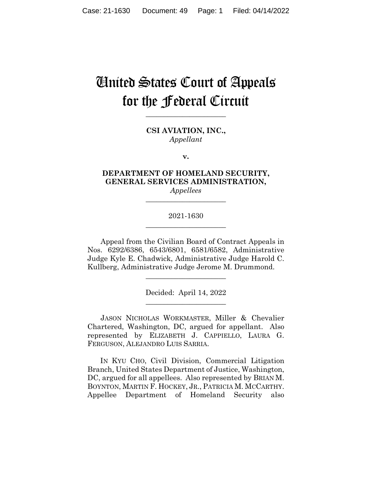# United States Court of Appeals for the Federal Circuit

**CSI AVIATION, INC.,** *Appellant*

**\_\_\_\_\_\_\_\_\_\_\_\_\_\_\_\_\_\_\_\_\_\_** 

**v.**

## **DEPARTMENT OF HOMELAND SECURITY, GENERAL SERVICES ADMINISTRATION,** *Appellees*

**\_\_\_\_\_\_\_\_\_\_\_\_\_\_\_\_\_\_\_\_\_\_** 

## 2021-1630 **\_\_\_\_\_\_\_\_\_\_\_\_\_\_\_\_\_\_\_\_\_\_**

Appeal from the Civilian Board of Contract Appeals in Nos. 6292/6386, 6543/6801, 6581/6582, Administrative Judge Kyle E. Chadwick, Administrative Judge Harold C. Kullberg, Administrative Judge Jerome M. Drummond.

> Decided: April 14, 2022 \_\_\_\_\_\_\_\_\_\_\_\_\_\_\_\_\_\_\_\_\_\_

\_\_\_\_\_\_\_\_\_\_\_\_\_\_\_\_\_\_\_\_\_\_

JASON NICHOLAS WORKMASTER, Miller & Chevalier Chartered, Washington, DC, argued for appellant. Also represented by ELIZABETH J. CAPPIELLO, LAURA G. FERGUSON, ALEJANDRO LUIS SARRIA.

 IN KYU CHO, Civil Division, Commercial Litigation Branch, United States Department of Justice, Washington, DC, argued for all appellees. Also represented by BRIAN M. BOYNTON, MARTIN F. HOCKEY, JR., PATRICIA M. MCCARTHY. Appellee Department of Homeland Security also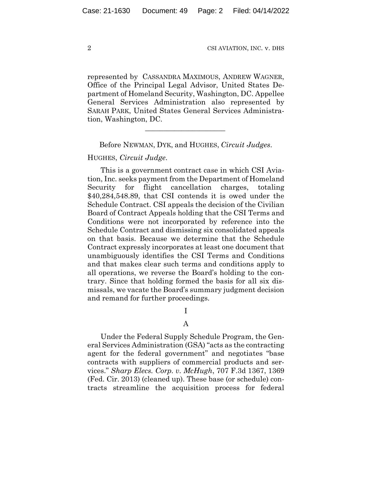represented by CASSANDRA MAXIMOUS, ANDREW WAGNER, Office of the Principal Legal Advisor, United States Department of Homeland Security, Washington, DC. Appellee General Services Administration also represented by SARAH PARK, United States General Services Administration, Washington, DC.

Before NEWMAN, DYK, and HUGHES, *Circuit Judges*.

 $\mathcal{L}_\text{max}$  and  $\mathcal{L}_\text{max}$  and  $\mathcal{L}_\text{max}$  and  $\mathcal{L}_\text{max}$ 

HUGHES, *Circuit Judge*.

This is a government contract case in which CSI Aviation, Inc. seeks payment from the Department of Homeland Security for flight cancellation charges, totaling \$40,284,548.89, that CSI contends it is owed under the Schedule Contract. CSI appeals the decision of the Civilian Board of Contract Appeals holding that the CSI Terms and Conditions were not incorporated by reference into the Schedule Contract and dismissing six consolidated appeals on that basis. Because we determine that the Schedule Contract expressly incorporates at least one document that unambiguously identifies the CSI Terms and Conditions and that makes clear such terms and conditions apply to all operations, we reverse the Board's holding to the contrary. Since that holding formed the basis for all six dismissals, we vacate the Board's summary judgment decision and remand for further proceedings.

I

#### A

Under the Federal Supply Schedule Program, the General Services Administration (GSA) "acts as the contracting agent for the federal government" and negotiates "base contracts with suppliers of commercial products and services." *Sharp Elecs. Corp. v. McHugh*, 707 F.3d 1367, 1369 (Fed. Cir. 2013) (cleaned up). These base (or schedule) contracts streamline the acquisition process for federal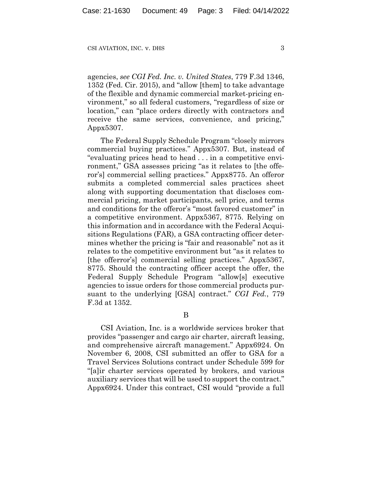agencies, *see CGI Fed. Inc. v. United States*, 779 F.3d 1346, 1352 (Fed. Cir. 2015), and "allow [them] to take advantage of the flexible and dynamic commercial market-pricing environment," so all federal customers, "regardless of size or location," can "place orders directly with contractors and receive the same services, convenience, and pricing," Appx5307.

The Federal Supply Schedule Program "closely mirrors commercial buying practices." Appx5307. But, instead of "evaluating prices head to head . . . in a competitive environment," GSA assesses pricing "as it relates to [the offeror's] commercial selling practices." Appx8775. An offeror submits a completed commercial sales practices sheet along with supporting documentation that discloses commercial pricing, market participants, sell price, and terms and conditions for the offeror's "most favored customer" in a competitive environment. Appx5367, 8775. Relying on this information and in accordance with the Federal Acquisitions Regulations (FAR), a GSA contracting officer determines whether the pricing is "fair and reasonable" not as it relates to the competitive environment but "as it relates to [the offerror's] commercial selling practices." Appx5367, 8775. Should the contracting officer accept the offer, the Federal Supply Schedule Program "allow[s] executive agencies to issue orders for those commercial products pursuant to the underlying [GSA] contract." *CGI Fed.*, 779 F.3d at 1352.

B

CSI Aviation, Inc. is a worldwide services broker that provides "passenger and cargo air charter, aircraft leasing, and comprehensive aircraft management." Appx6924. On November 6, 2008, CSI submitted an offer to GSA for a Travel Services Solutions contract under Schedule 599 for "[a]ir charter services operated by brokers, and various auxiliary services that will be used to support the contract." Appx6924. Under this contract, CSI would "provide a full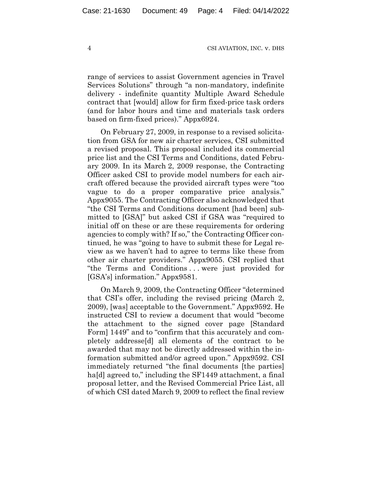range of services to assist Government agencies in Travel Services Solutions" through "a non-mandatory, indefinite delivery - indefinite quantity Multiple Award Schedule contract that [would] allow for firm fixed-price task orders (and for labor hours and time and materials task orders based on firm-fixed prices)." Appx6924.

On February 27, 2009, in response to a revised solicitation from GSA for new air charter services, CSI submitted a revised proposal. This proposal included its commercial price list and the CSI Terms and Conditions, dated February 2009. In its March 2, 2009 response, the Contracting Officer asked CSI to provide model numbers for each aircraft offered because the provided aircraft types were "too vague to do a proper comparative price analysis." Appx9055. The Contracting Officer also acknowledged that "the CSI Terms and Conditions document [had been] submitted to [GSA]" but asked CSI if GSA was "required to initial off on these or are these requirements for ordering agencies to comply with? If so," the Contracting Officer continued, he was "going to have to submit these for Legal review as we haven't had to agree to terms like these from other air charter providers." Appx9055. CSI replied that "the Terms and Conditions . . . were just provided for [GSA's] information." Appx9581.

On March 9, 2009, the Contracting Officer "determined that CSI's offer, including the revised pricing (March 2, 2009), [was] acceptable to the Government." Appx9592. He instructed CSI to review a document that would "become the attachment to the signed cover page [Standard Form] 1449" and to "confirm that this accurately and completely addresse[d] all elements of the contract to be awarded that may not be directly addressed within the information submitted and/or agreed upon." Appx9592. CSI immediately returned "the final documents [the parties] ha[d] agreed to," including the SF1449 attachment, a final proposal letter, and the Revised Commercial Price List, all of which CSI dated March 9, 2009 to reflect the final review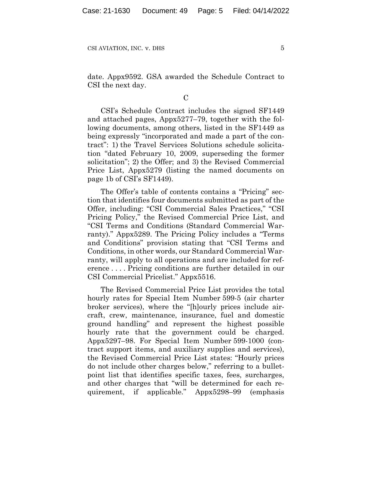date. Appx9592. GSA awarded the Schedule Contract to CSI the next day.

 $\overline{C}$ 

CSI's Schedule Contract includes the signed SF1449 and attached pages, Appx5277–79, together with the following documents, among others, listed in the SF1449 as being expressly "incorporated and made a part of the contract": 1) the Travel Services Solutions schedule solicitation "dated February 10, 2009, superseding the former solicitation"; 2) the Offer; and 3) the Revised Commercial Price List, Appx5279 (listing the named documents on page 1b of CSI's SF1449).

The Offer's table of contents contains a "Pricing" section that identifies four documents submitted as part of the Offer, including: "CSI Commercial Sales Practices," "CSI Pricing Policy," the Revised Commercial Price List, and "CSI Terms and Conditions (Standard Commercial Warranty)." Appx5289. The Pricing Policy includes a "Terms and Conditions" provision stating that "CSI Terms and Conditions, in other words, our Standard Commercial Warranty, will apply to all operations and are included for reference . . . . Pricing conditions are further detailed in our CSI Commercial Pricelist." Appx5516.

The Revised Commercial Price List provides the total hourly rates for Special Item Number 599-5 (air charter broker services), where the "[h]ourly prices include aircraft, crew, maintenance, insurance, fuel and domestic ground handling" and represent the highest possible hourly rate that the government could be charged. Appx5297–98. For Special Item Number 599-1000 (contract support items, and auxiliary supplies and services), the Revised Commercial Price List states: "Hourly prices do not include other charges below," referring to a bulletpoint list that identifies specific taxes, fees, surcharges, and other charges that "will be determined for each requirement, if applicable." Appx5298–99 (emphasis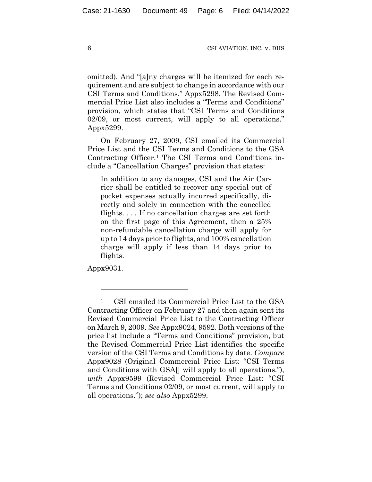omitted). And "[a]ny charges will be itemized for each requirement and are subject to change in accordance with our CSI Terms and Conditions." Appx5298. The Revised Commercial Price List also includes a "Terms and Conditions" provision, which states that "CSI Terms and Conditions 02/09, or most current, will apply to all operations." Appx5299.

On February 27, 2009, CSI emailed its Commercial Price List and the CSI Terms and Conditions to the GSA Contracting Officer.1 The CSI Terms and Conditions include a "Cancellation Charges" provision that states:

In addition to any damages, CSI and the Air Carrier shall be entitled to recover any special out of pocket expenses actually incurred specifically, directly and solely in connection with the cancelled flights. . . . If no cancellation charges are set forth on the first page of this Agreement, then a 25% non-refundable cancellation charge will apply for up to 14 days prior to flights, and 100% cancellation charge will apply if less than 14 days prior to flights.

Appx9031.

<sup>1</sup> CSI emailed its Commercial Price List to the GSA Contracting Officer on February 27 and then again sent its Revised Commercial Price List to the Contracting Officer on March 9, 2009. *See* Appx9024, 9592. Both versions of the price list include a "Terms and Conditions" provision, but the Revised Commercial Price List identifies the specific version of the CSI Terms and Conditions by date. *Compare*  Appx9028 (Original Commercial Price List: "CSI Terms and Conditions with GSA[] will apply to all operations."), *with* Appx9599 (Revised Commercial Price List: "CSI Terms and Conditions 02/09, or most current, will apply to all operations."); *see also* Appx5299.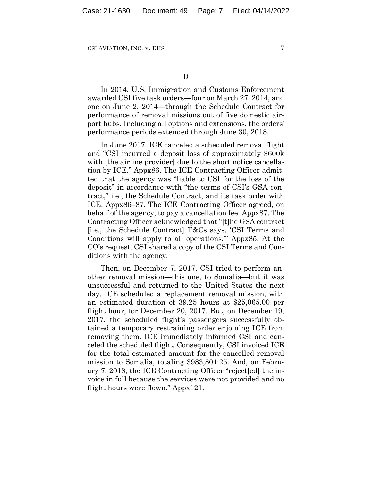D

In 2014, U.S. Immigration and Customs Enforcement awarded CSI five task orders—four on March 27, 2014, and one on June 2, 2014—through the Schedule Contract for performance of removal missions out of five domestic airport hubs. Including all options and extensions, the orders' performance periods extended through June 30, 2018.

In June 2017, ICE canceled a scheduled removal flight and "CSI incurred a deposit loss of approximately \$600k with [the airline provider] due to the short notice cancellation by ICE." Appx86. The ICE Contracting Officer admitted that the agency was "liable to CSI for the loss of the deposit" in accordance with "the terms of CSI's GSA contract," i.e., the Schedule Contract, and its task order with ICE. Appx86–87. The ICE Contracting Officer agreed, on behalf of the agency, to pay a cancellation fee. Appx87. The Contracting Officer acknowledged that "[t]he GSA contract [i.e., the Schedule Contract] T&Cs says, 'CSI Terms and Conditions will apply to all operations.'" Appx85. At the CO's request, CSI shared a copy of the CSI Terms and Conditions with the agency.

Then, on December 7, 2017, CSI tried to perform another removal mission—this one, to Somalia—but it was unsuccessful and returned to the United States the next day. ICE scheduled a replacement removal mission, with an estimated duration of 39.25 hours at \$25,065.00 per flight hour, for December 20, 2017. But, on December 19, 2017, the scheduled flight's passengers successfully obtained a temporary restraining order enjoining ICE from removing them. ICE immediately informed CSI and canceled the scheduled flight. Consequently, CSI invoiced ICE for the total estimated amount for the cancelled removal mission to Somalia, totaling \$983,801.25. And, on February 7, 2018, the ICE Contracting Officer "reject[ed] the invoice in full because the services were not provided and no flight hours were flown." Appx121.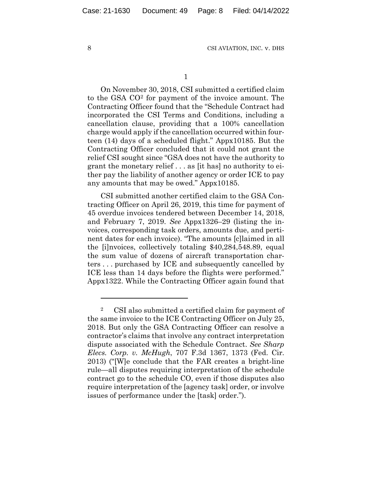1

On November 30, 2018, CSI submitted a certified claim to the GSA CO2 for payment of the invoice amount. The Contracting Officer found that the "Schedule Contract had incorporated the CSI Terms and Conditions, including a cancellation clause, providing that a 100% cancellation charge would apply if the cancellation occurred within fourteen (14) days of a scheduled flight." Appx10185. But the Contracting Officer concluded that it could not grant the relief CSI sought since "GSA does not have the authority to grant the monetary relief . . . as [it has] no authority to either pay the liability of another agency or order ICE to pay any amounts that may be owed." Appx10185.

CSI submitted another certified claim to the GSA Contracting Officer on April 26, 2019, this time for payment of 45 overdue invoices tendered between December 14, 2018, and February 7, 2019. *See* Appx1326–29 (listing the invoices, corresponding task orders, amounts due, and pertinent dates for each invoice). "The amounts [c]laimed in all the [i]nvoices, collectively totaling \$40,284,548.89, equal the sum value of dozens of aircraft transportation charters . . . purchased by ICE and subsequently cancelled by ICE less than 14 days before the flights were performed." Appx1322. While the Contracting Officer again found that

<sup>2</sup> CSI also submitted a certified claim for payment of the same invoice to the ICE Contracting Officer on July 25, 2018. But only the GSA Contracting Officer can resolve a contractor's claims that involve any contract interpretation dispute associated with the Schedule Contract. *See Sharp Elecs. Corp. v. McHugh*, 707 F.3d 1367, 1373 (Fed. Cir. 2013) ("[W]e conclude that the FAR creates a bright-line rule—all disputes requiring interpretation of the schedule contract go to the schedule CO, even if those disputes also require interpretation of the [agency task] order, or involve issues of performance under the [task] order.").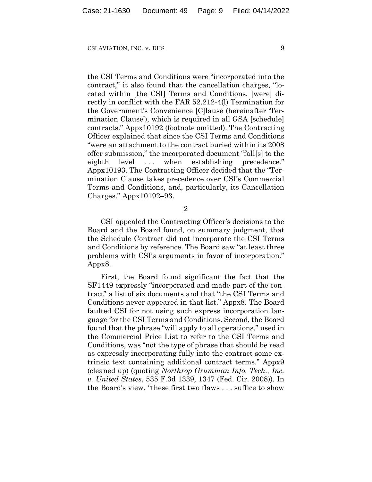the CSI Terms and Conditions were "incorporated into the contract," it also found that the cancellation charges, "located within [the CSI] Terms and Conditions, [were] directly in conflict with the FAR 52.212-4(l) Termination for the Government's Convenience [C]lause (hereinafter 'Termination Clause'), which is required in all GSA [schedule] contracts." Appx10192 (footnote omitted). The Contracting Officer explained that since the CSI Terms and Conditions "were an attachment to the contract buried within its 2008 offer submission," the incorporated document "fall[s] to the eighth level ... when establishing precedence." Appx10193. The Contracting Officer decided that the "Termination Clause takes precedence over CSI's Commercial Terms and Conditions, and, particularly, its Cancellation Charges." Appx10192–93.

2

CSI appealed the Contracting Officer's decisions to the Board and the Board found, on summary judgment, that the Schedule Contract did not incorporate the CSI Terms and Conditions by reference. The Board saw "at least three problems with CSI's arguments in favor of incorporation." Appx8.

First, the Board found significant the fact that the SF1449 expressly "incorporated and made part of the contract" a list of six documents and that "the CSI Terms and Conditions never appeared in that list." Appx8. The Board faulted CSI for not using such express incorporation language for the CSI Terms and Conditions. Second, the Board found that the phrase "will apply to all operations," used in the Commercial Price List to refer to the CSI Terms and Conditions, was "not the type of phrase that should be read as expressly incorporating fully into the contract some extrinsic text containing additional contract terms." Appx9 (cleaned up) (quoting *Northrop Grumman Info. Tech., Inc. v. United States*, 535 F.3d 1339, 1347 (Fed. Cir. 2008)). In the Board's view, "these first two flaws . . . suffice to show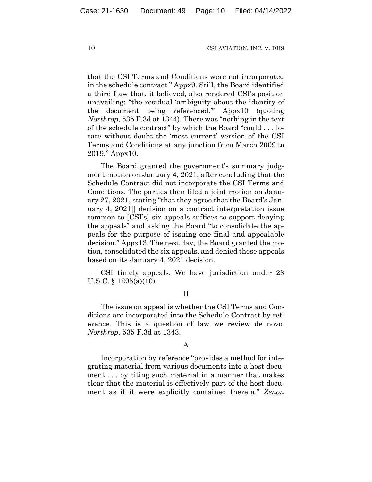that the CSI Terms and Conditions were not incorporated in the schedule contract." Appx9. Still, the Board identified a third flaw that, it believed, also rendered CSI's position unavailing: "the residual 'ambiguity about the identity of the document being referenced.'" Appx10 (quoting *Northrop*, 535 F.3d at 1344). There was "nothing in the text of the schedule contract" by which the Board "could . . . locate without doubt the 'most current' version of the CSI Terms and Conditions at any junction from March 2009 to 2019." Appx10.

The Board granted the government's summary judgment motion on January 4, 2021, after concluding that the Schedule Contract did not incorporate the CSI Terms and Conditions. The parties then filed a joint motion on January 27, 2021, stating "that they agree that the Board's January 4, 2021[] decision on a contract interpretation issue common to [CSI's] six appeals suffices to support denying the appeals" and asking the Board "to consolidate the appeals for the purpose of issuing one final and appealable decision." Appx13. The next day, the Board granted the motion, consolidated the six appeals, and denied those appeals based on its January 4, 2021 decision.

CSI timely appeals. We have jurisdiction under 28 U.S.C. § 1295(a)(10).

#### II

The issue on appeal is whether the CSI Terms and Conditions are incorporated into the Schedule Contract by reference. This is a question of law we review de novo. *Northrop*, 535 F.3d at 1343.

### A

Incorporation by reference "provides a method for integrating material from various documents into a host document . . . by citing such material in a manner that makes clear that the material is effectively part of the host document as if it were explicitly contained therein." *Zenon*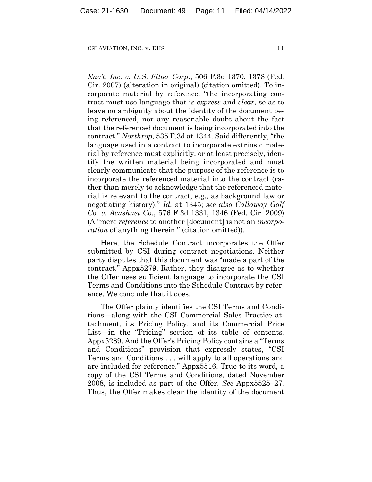*Env't, Inc. v. U.S. Filter Corp.*, 506 F.3d 1370, 1378 (Fed. Cir. 2007) (alteration in original) (citation omitted). To incorporate material by reference, "the incorporating contract must use language that is *express* and *clear*, so as to leave no ambiguity about the identity of the document being referenced, nor any reasonable doubt about the fact that the referenced document is being incorporated into the contract." *Northrop*, 535 F.3d at 1344. Said differently, "the language used in a contract to incorporate extrinsic material by reference must explicitly, or at least precisely, identify the written material being incorporated and must clearly communicate that the purpose of the reference is to incorporate the referenced material into the contract (rather than merely to acknowledge that the referenced material is relevant to the contract, e.g., as background law or negotiating history)." *Id.* at 1345; *see also Callaway Golf Co. v. Acushnet Co.*, 576 F.3d 1331, 1346 (Fed. Cir. 2009) (A "mere *reference* to another [document] is not an *incorporation* of anything therein." (citation omitted)).

Here, the Schedule Contract incorporates the Offer submitted by CSI during contract negotiations. Neither party disputes that this document was "made a part of the contract." Appx5279. Rather, they disagree as to whether the Offer uses sufficient language to incorporate the CSI Terms and Conditions into the Schedule Contract by reference. We conclude that it does.

The Offer plainly identifies the CSI Terms and Conditions—along with the CSI Commercial Sales Practice attachment, its Pricing Policy, and its Commercial Price List—in the "Pricing" section of its table of contents. Appx5289. And the Offer's Pricing Policy contains a "Terms and Conditions" provision that expressly states, "CSI Terms and Conditions . . . will apply to all operations and are included for reference." Appx5516. True to its word, a copy of the CSI Terms and Conditions, dated November 2008, is included as part of the Offer. *See* Appx5525–27. Thus, the Offer makes clear the identity of the document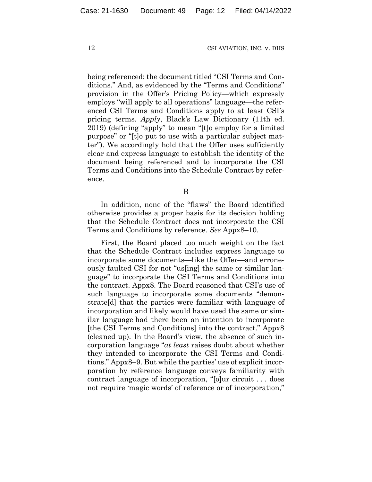being referenced: the document titled "CSI Terms and Conditions." And, as evidenced by the "Terms and Conditions" provision in the Offer's Pricing Policy—which expressly employs "will apply to all operations" language—the referenced CSI Terms and Conditions apply to at least CSI's pricing terms. *Apply*, Black's Law Dictionary (11th ed. 2019) (defining "apply" to mean "[t]o employ for a limited purpose" or "[t]o put to use with a particular subject matter"). We accordingly hold that the Offer uses sufficiently clear and express language to establish the identity of the document being referenced and to incorporate the CSI Terms and Conditions into the Schedule Contract by reference.

B

In addition, none of the "flaws" the Board identified otherwise provides a proper basis for its decision holding that the Schedule Contract does not incorporate the CSI Terms and Conditions by reference. *See* Appx8–10.

First, the Board placed too much weight on the fact that the Schedule Contract includes express language to incorporate some documents—like the Offer—and erroneously faulted CSI for not "us[ing] the same or similar language" to incorporate the CSI Terms and Conditions into the contract. Appx8. The Board reasoned that CSI's use of such language to incorporate some documents "demonstrate[d] that the parties were familiar with language of incorporation and likely would have used the same or similar language had there been an intention to incorporate [the CSI Terms and Conditions] into the contract." Appx8 (cleaned up). In the Board's view, the absence of such incorporation language "*at least* raises doubt about whether they intended to incorporate the CSI Terms and Conditions." Appx8–9. But while the parties' use of explicit incorporation by reference language conveys familiarity with contract language of incorporation, "[o]ur circuit . . . does not require 'magic words' of reference or of incorporation,"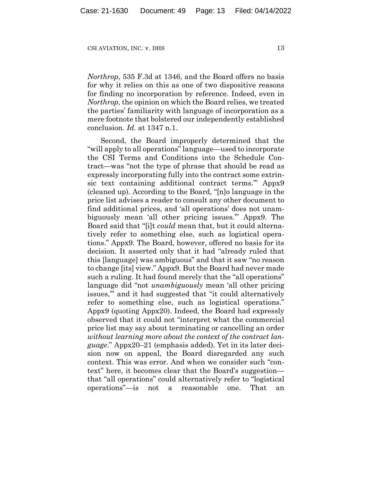*Northrop*, 535 F.3d at 1346, and the Board offers no basis for why it relies on this as one of two dispositive reasons for finding no incorporation by reference. Indeed, even in *Northrop*, the opinion on which the Board relies, we treated the parties' familiarity with language of incorporation as a mere footnote that bolstered our independently established conclusion. *Id.* at 1347 n.1.

Second, the Board improperly determined that the "will apply to all operations" language—used to incorporate the CSI Terms and Conditions into the Schedule Contract—was "not the type of phrase that should be read as expressly incorporating fully into the contract some extrinsic text containing additional contract terms.'" Appx9 (cleaned up). According to the Board, "[n]o language in the price list advises a reader to consult any other document to find additional prices, and 'all operations' does not unambiguously mean 'all other pricing issues.'" Appx9. The Board said that "[i]t *could* mean that, but it could alternatively refer to something else, such as logistical operations." Appx9. The Board, however, offered no basis for its decision. It asserted only that it had "already ruled that this [language] was ambiguous" and that it saw "no reason to change [its] view." Appx9. But the Board had never made such a ruling. It had found merely that the "all operations" language did "not *unambiguously* mean 'all other pricing issues,'" and it had suggested that "it could alternatively refer to something else, such as logistical operations." Appx9 (quoting Appx20). Indeed, the Board had expressly observed that it could not "interpret what the commercial price list may say about terminating or cancelling an order *without learning more about the context of the contract language*." Appx20–21 (emphasis added). Yet in its later decision now on appeal, the Board disregarded any such context. This was error. And when we consider such "context" here, it becomes clear that the Board's suggestion that "all operations" could alternatively refer to "logistical operations"—is not a reasonable one. That an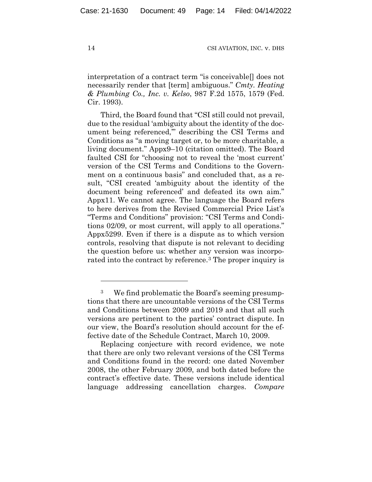interpretation of a contract term "is conceivable[] does not necessarily render that [term] ambiguous." *Cmty. Heating & Plumbing Co., Inc. v. Kelso*, 987 F.2d 1575, 1579 (Fed. Cir. 1993).

Third, the Board found that "CSI still could not prevail, due to the residual 'ambiguity about the identity of the document being referenced,'" describing the CSI Terms and Conditions as "a moving target or, to be more charitable, a living document." Appx9–10 (citation omitted). The Board faulted CSI for "choosing not to reveal the 'most current' version of the CSI Terms and Conditions to the Government on a continuous basis" and concluded that, as a result, "CSI created 'ambiguity about the identity of the document being referenced' and defeated its own aim." Appx11. We cannot agree. The language the Board refers to here derives from the Revised Commercial Price List's "Terms and Conditions" provision: "CSI Terms and Conditions 02/09, or most current, will apply to all operations." Appx5299. Even if there is a dispute as to which version controls, resolving that dispute is not relevant to deciding the question before us: whether any version was incorporated into the contract by reference.3 The proper inquiry is

<sup>3</sup> We find problematic the Board's seeming presumptions that there are uncountable versions of the CSI Terms and Conditions between 2009 and 2019 and that all such versions are pertinent to the parties' contract dispute. In our view, the Board's resolution should account for the effective date of the Schedule Contract, March 10, 2009.

Replacing conjecture with record evidence, we note that there are only two relevant versions of the CSI Terms and Conditions found in the record: one dated November 2008, the other February 2009, and both dated before the contract's effective date. These versions include identical language addressing cancellation charges. *Compare*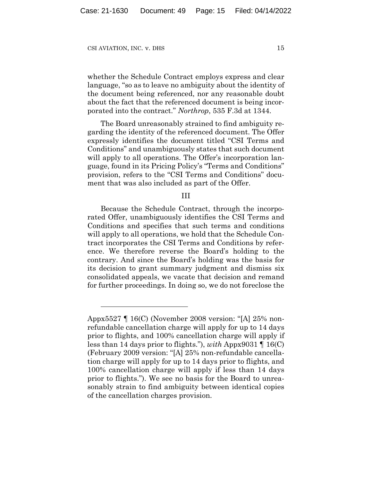whether the Schedule Contract employs express and clear language, "so as to leave no ambiguity about the identity of the document being referenced, nor any reasonable doubt about the fact that the referenced document is being incorporated into the contract." *Northrop*, 535 F.3d at 1344.

The Board unreasonably strained to find ambiguity regarding the identity of the referenced document. The Offer expressly identifies the document titled "CSI Terms and Conditions" and unambiguously states that such document will apply to all operations. The Offer's incorporation language, found in its Pricing Policy's "Terms and Conditions" provision, refers to the "CSI Terms and Conditions" document that was also included as part of the Offer.

#### III

Because the Schedule Contract, through the incorporated Offer, unambiguously identifies the CSI Terms and Conditions and specifies that such terms and conditions will apply to all operations, we hold that the Schedule Contract incorporates the CSI Terms and Conditions by reference. We therefore reverse the Board's holding to the contrary. And since the Board's holding was the basis for its decision to grant summary judgment and dismiss six consolidated appeals, we vacate that decision and remand for further proceedings. In doing so, we do not foreclose the

Appx5527 ¶ 16(C) (November 2008 version: "[A] 25% nonrefundable cancellation charge will apply for up to 14 days prior to flights, and 100% cancellation charge will apply if less than 14 days prior to flights."), *with* Appx9031 ¶ 16(C) (February 2009 version: "[A] 25% non-refundable cancellation charge will apply for up to 14 days prior to flights, and 100% cancellation charge will apply if less than 14 days prior to flights."). We see no basis for the Board to unreasonably strain to find ambiguity between identical copies of the cancellation charges provision.